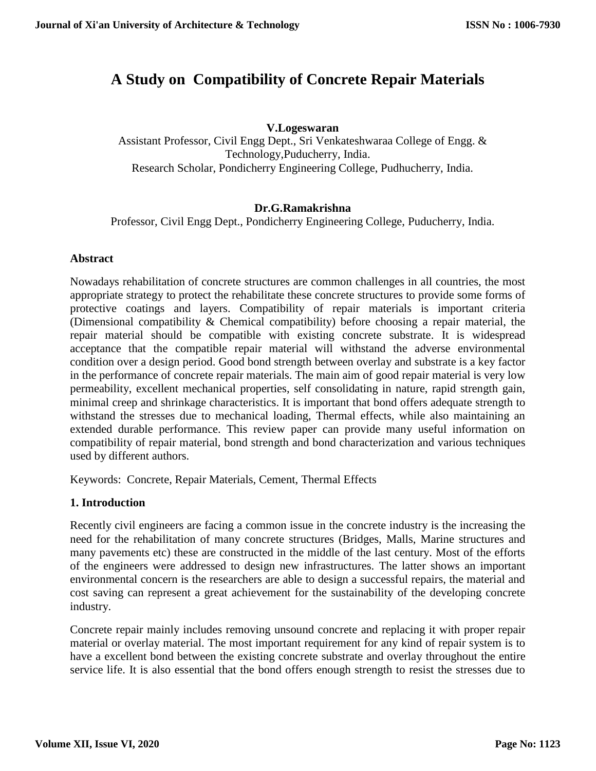# **A Study on Compatibility of Concrete Repair Materials**

## **V.Logeswaran**

Assistant Professor, Civil Engg Dept., Sri Venkateshwaraa College of Engg. & Technology,Puducherry, India. Research Scholar, Pondicherry Engineering College, Pudhucherry, India.

## **Dr.G.Ramakrishna**

Professor, Civil Engg Dept., Pondicherry Engineering College, Puducherry, India.

#### **Abstract**

Nowadays rehabilitation of concrete structures are common challenges in all countries, the most appropriate strategy to protect the rehabilitate these concrete structures to provide some forms of protective coatings and layers. Compatibility of repair materials is important criteria (Dimensional compatibility & Chemical compatibility) before choosing a repair material, the repair material should be compatible with existing concrete substrate. It is widespread acceptance that the compatible repair material will withstand the adverse environmental condition over a design period. Good bond strength between overlay and substrate is a key factor in the performance of concrete repair materials. The main aim of good repair material is very low permeability, excellent mechanical properties, self consolidating in nature, rapid strength gain, minimal creep and shrinkage characteristics. It is important that bond offers adequate strength to withstand the stresses due to mechanical loading, Thermal effects, while also maintaining an extended durable performance. This review paper can provide many useful information on compatibility of repair material, bond strength and bond characterization and various techniques used by different authors.

Keywords: Concrete, Repair Materials, Cement, Thermal Effects

#### **1. Introduction**

Recently civil engineers are facing a common issue in the concrete industry is the increasing the need for the rehabilitation of many concrete structures (Bridges, Malls, Marine structures and many pavements etc) these are constructed in the middle of the last century. Most of the efforts of the engineers were addressed to design new infrastructures. The latter shows an important environmental concern is the researchers are able to design a successful repairs, the material and cost saving can represent a great achievement for the sustainability of the developing concrete industry.

Concrete repair mainly includes removing unsound concrete and replacing it with proper repair material or overlay material. The most important requirement for any kind of repair system is to have a excellent bond between the existing concrete substrate and overlay throughout the entire service life. It is also essential that the bond offers enough strength to resist the stresses due to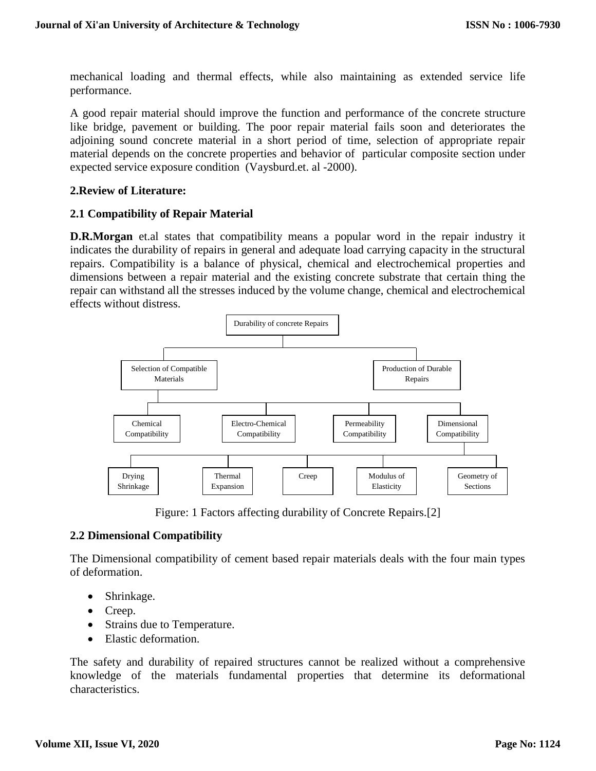mechanical loading and thermal effects, while also maintaining as extended service life performance.

A good repair material should improve the function and performance of the concrete structure like bridge, pavement or building. The poor repair material fails soon and deteriorates the adjoining sound concrete material in a short period of time, selection of appropriate repair material depends on the concrete properties and behavior of particular composite section under expected service exposure condition (Vaysburd.et. al -2000).

#### **2.Review of Literature:**

#### **2.1 Compatibility of Repair Material**

**D.R.Morgan** et.al states that compatibility means a popular word in the repair industry it indicates the durability of repairs in general and adequate load carrying capacity in the structural repairs. Compatibility is a balance of physical, chemical and electrochemical properties and dimensions between a repair material and the existing concrete substrate that certain thing the repair can withstand all the stresses induced by the volume change, chemical and electrochemical effects without distress.



Figure: 1 Factors affecting durability of Concrete Repairs.[2]

#### **2.2 Dimensional Compatibility**

The Dimensional compatibility of cement based repair materials deals with the four main types of deformation.

- Shrinkage.
- Creep.
- Strains due to Temperature.
- Elastic deformation.

The safety and durability of repaired structures cannot be realized without a comprehensive knowledge of the materials fundamental properties that determine its deformational characteristics.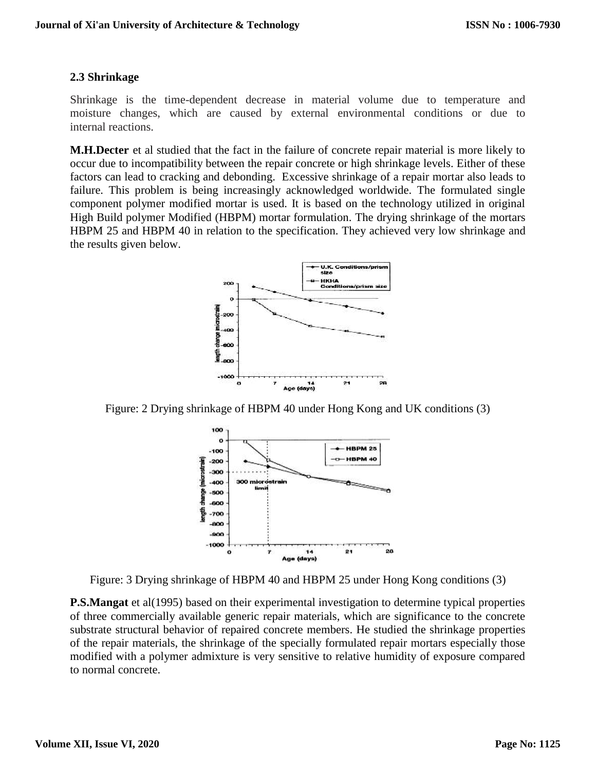## **2.3 Shrinkage**

Shrinkage is the time-dependent decrease in material volume due to temperature and moisture changes, which are caused by external environmental conditions or due to internal reactions.

**M.H.Decter** et al studied that the fact in the failure of concrete repair material is more likely to occur due to incompatibility between the repair concrete or high shrinkage levels. Either of these factors can lead to cracking and debonding. Excessive shrinkage of a repair mortar also leads to failure. This problem is being increasingly acknowledged worldwide. The formulated single component polymer modified mortar is used. It is based on the technology utilized in original High Build polymer Modified (HBPM) mortar formulation. The drying shrinkage of the mortars HBPM 25 and HBPM 40 in relation to the specification. They achieved very low shrinkage and the results given below.



Figure: 2 Drying shrinkage of HBPM 40 under Hong Kong and UK conditions (3)



Figure: 3 Drying shrinkage of HBPM 40 and HBPM 25 under Hong Kong conditions (3)

**P.S.Mangat** et al(1995) based on their experimental investigation to determine typical properties of three commercially available generic repair materials, which are significance to the concrete substrate structural behavior of repaired concrete members. He studied the shrinkage properties of the repair materials, the shrinkage of the specially formulated repair mortars especially those modified with a polymer admixture is very sensitive to relative humidity of exposure compared to normal concrete.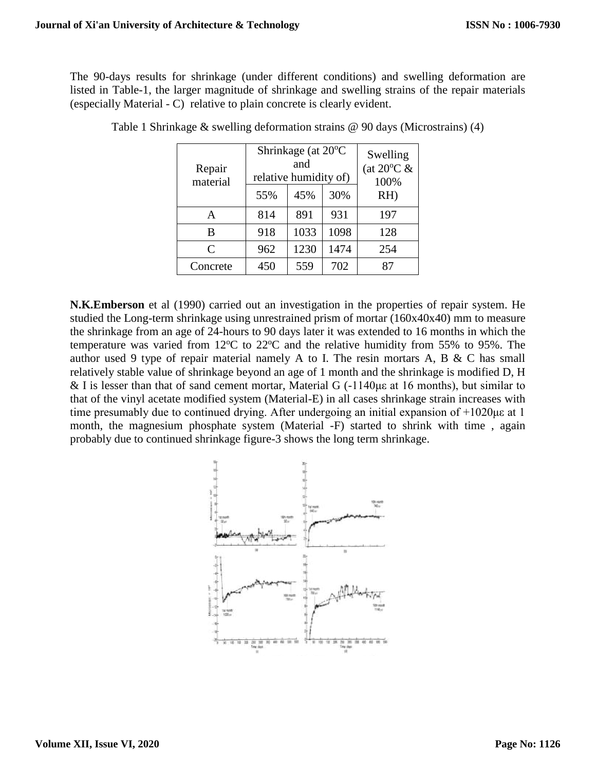The 90-days results for shrinkage (under different conditions) and swelling deformation are listed in Table-1, the larger magnitude of shrinkage and swelling strains of the repair materials (especially Material - C) relative to plain concrete is clearly evident.

| Repair<br>material | Shrinkage (at 20°C<br>and<br>relative humidity of) |      | Swelling<br>(at $20^{\circ}$ C &<br>100% |     |
|--------------------|----------------------------------------------------|------|------------------------------------------|-----|
|                    | 55%                                                | 45%  | 30%                                      | RH  |
| A                  | 814                                                | 891  | 931                                      | 197 |
| B                  | 918                                                | 1033 | 1098                                     | 128 |
| $\mathsf{C}$       | 962                                                | 1230 | 1474                                     | 254 |
| Concrete           | 450                                                | 559  | 702                                      |     |

Table 1 Shrinkage & swelling deformation strains @ 90 days (Microstrains) (4)

**N.K.Emberson** et al (1990) carried out an investigation in the properties of repair system. He studied the Long-term shrinkage using unrestrained prism of mortar (160x40x40) mm to measure the shrinkage from an age of 24-hours to 90 days later it was extended to 16 months in which the temperature was varied from  $12^{\circ}$ C to  $22^{\circ}$ C and the relative humidity from 55% to 95%. The author used 9 type of repair material namely A to I. The resin mortars A, B & C has small relatively stable value of shrinkage beyond an age of 1 month and the shrinkage is modified D, H & I is lesser than that of sand cement mortar, Material G (-1140με at 16 months), but similar to that of the vinyl acetate modified system (Material-E) in all cases shrinkage strain increases with time presumably due to continued drying. After undergoing an initial expansion of +1020με at 1 month, the magnesium phosphate system (Material -F) started to shrink with time , again probably due to continued shrinkage figure-3 shows the long term shrinkage.

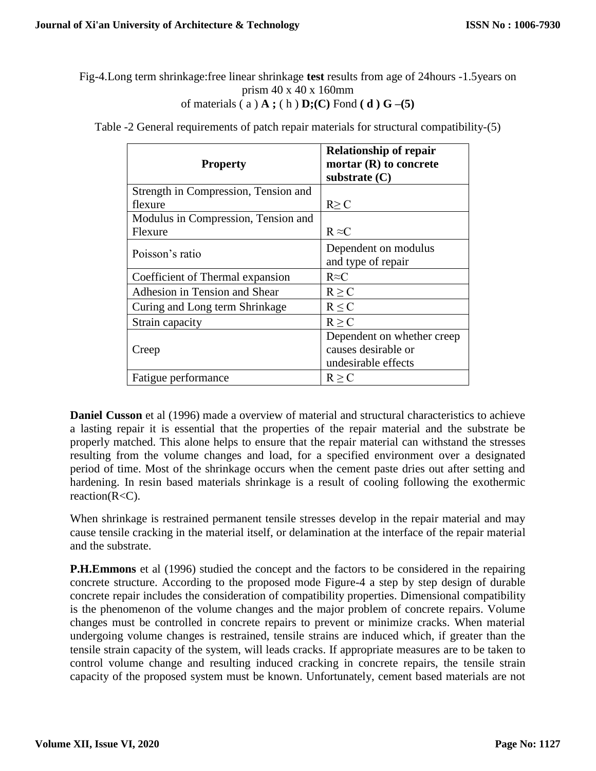Fig-4.Long term shrinkage:free linear shrinkage **test** results from age of 24hours -1.5years on prism 40 x 40 x 160mm of materials  $(a) \mathbf{A}$ ;  $(h) \mathbf{D}$ ;  $(C)$  Fond  $(d)$   $G$   $-(5)$ 

| <b>Property</b>                      | <b>Relationship of repair</b><br>mortar (R) to concrete<br>substrate $(C)$ |
|--------------------------------------|----------------------------------------------------------------------------|
| Strength in Compression, Tension and |                                                                            |
| flexure                              | $R \geq C$                                                                 |
| Modulus in Compression, Tension and  |                                                                            |
| Flexure                              | $R \approx C$                                                              |
| Poisson's ratio                      | Dependent on modulus<br>and type of repair                                 |
| Coefficient of Thermal expansion     | $R \approx C$                                                              |
| Adhesion in Tension and Shear        | $R \ge C$                                                                  |
| Curing and Long term Shrinkage       | R < C                                                                      |
| Strain capacity                      | $R \ge C$                                                                  |
| Creep                                | Dependent on whether creep<br>causes desirable or<br>undesirable effects   |
| Fatigue performance                  | R > C                                                                      |

Table -2 General requirements of patch repair materials for structural compatibility-(5)

**Daniel Cusson** et al (1996) made a overview of material and structural characteristics to achieve a lasting repair it is essential that the properties of the repair material and the substrate be properly matched. This alone helps to ensure that the repair material can withstand the stresses resulting from the volume changes and load, for a specified environment over a designated period of time. Most of the shrinkage occurs when the cement paste dries out after setting and hardening. In resin based materials shrinkage is a result of cooling following the exothermic reaction(R<C).

When shrinkage is restrained permanent tensile stresses develop in the repair material and may cause tensile cracking in the material itself, or delamination at the interface of the repair material and the substrate.

**P.H.Emmons** et al (1996) studied the concept and the factors to be considered in the repairing concrete structure. According to the proposed mode Figure-4 a step by step design of durable concrete repair includes the consideration of compatibility properties. Dimensional compatibility is the phenomenon of the volume changes and the major problem of concrete repairs. Volume changes must be controlled in concrete repairs to prevent or minimize cracks. When material undergoing volume changes is restrained, tensile strains are induced which, if greater than the tensile strain capacity of the system, will leads cracks. If appropriate measures are to be taken to control volume change and resulting induced cracking in concrete repairs, the tensile strain capacity of the proposed system must be known. Unfortunately, cement based materials are not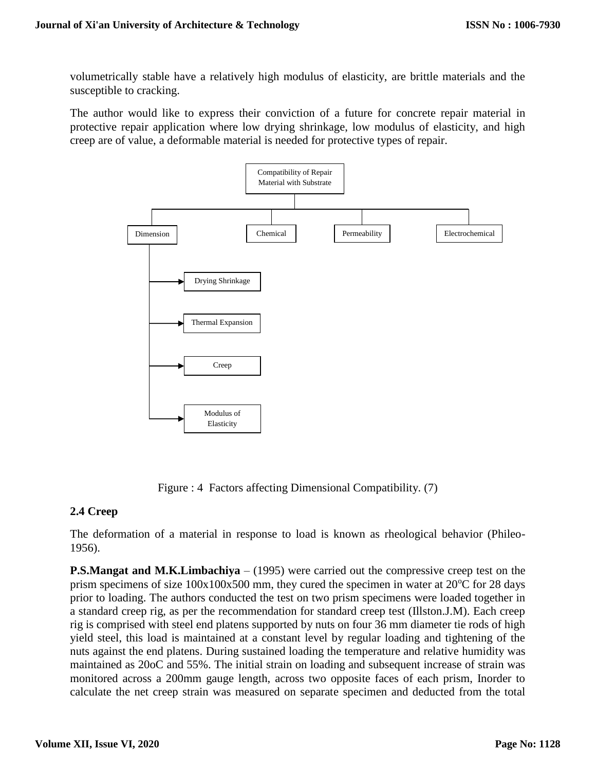volumetrically stable have a relatively high modulus of elasticity, are brittle materials and the susceptible to cracking.

The author would like to express their conviction of a future for concrete repair material in protective repair application where low drying shrinkage, low modulus of elasticity, and high creep are of value, a deformable material is needed for protective types of repair.



Figure : 4 Factors affecting Dimensional Compatibility. (7)

#### **2.4 Creep**

The deformation of a material in response to load is known as rheological behavior (Phileo-1956).

**P.S.Mangat and M.K.Limbachiya** – (1995) were carried out the compressive creep test on the prism specimens of size  $100x100x500$  mm, they cured the specimen in water at  $20^{\circ}$ C for 28 days prior to loading. The authors conducted the test on two prism specimens were loaded together in a standard creep rig, as per the recommendation for standard creep test (Illston.J.M). Each creep rig is comprised with steel end platens supported by nuts on four 36 mm diameter tie rods of high yield steel, this load is maintained at a constant level by regular loading and tightening of the nuts against the end platens. During sustained loading the temperature and relative humidity was maintained as 20oC and 55%. The initial strain on loading and subsequent increase of strain was monitored across a 200mm gauge length, across two opposite faces of each prism, Inorder to calculate the net creep strain was measured on separate specimen and deducted from the total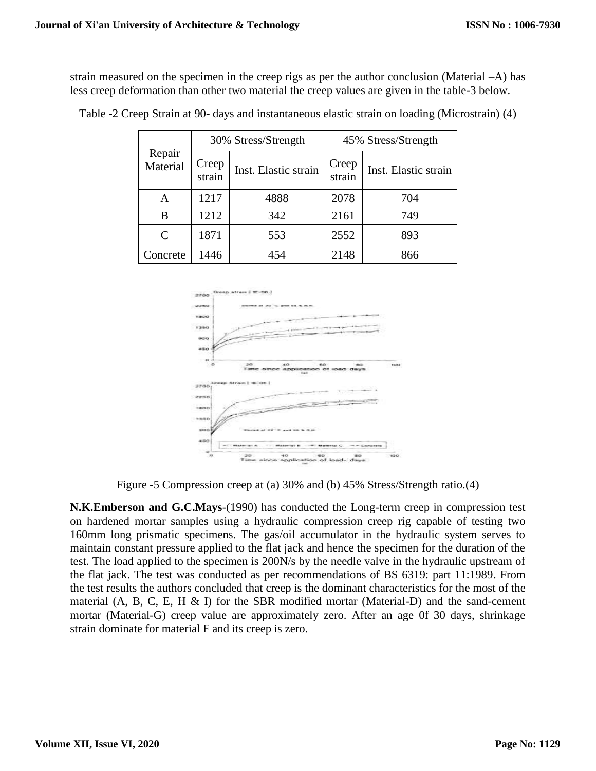strain measured on the specimen in the creep rigs as per the author conclusion (Material –A) has less creep deformation than other two material the creep values are given in the table-3 below.

|                    | 30% Stress/Strength |                      | 45% Stress/Strength |                      |
|--------------------|---------------------|----------------------|---------------------|----------------------|
| Repair<br>Material | Creep<br>strain     | Inst. Elastic strain | Creep<br>strain     | Inst. Elastic strain |
| А                  | 1217                | 4888                 | 2078                | 704                  |
| B                  | 1212                | 342                  | 2161                | 749                  |
| $\mathcal{C}$      | 1871                | 553                  | 2552                | 893                  |
| Concrete           | 1446                | 454                  | 2148                | 866                  |

Table -2 Creep Strain at 90- days and instantaneous elastic strain on loading (Microstrain) (4)



Figure -5 Compression creep at (a) 30% and (b) 45% Stress/Strength ratio.(4)

**N.K.Emberson and G.C.Mays**-(1990) has conducted the Long-term creep in compression test on hardened mortar samples using a hydraulic compression creep rig capable of testing two 160mm long prismatic specimens. The gas/oil accumulator in the hydraulic system serves to maintain constant pressure applied to the flat jack and hence the specimen for the duration of the test. The load applied to the specimen is 200N/s by the needle valve in the hydraulic upstream of the flat jack. The test was conducted as per recommendations of BS 6319: part 11:1989. From the test results the authors concluded that creep is the dominant characteristics for the most of the material (A, B, C, E, H & I) for the SBR modified mortar (Material-D) and the sand-cement mortar (Material-G) creep value are approximately zero. After an age 0f 30 days, shrinkage strain dominate for material F and its creep is zero.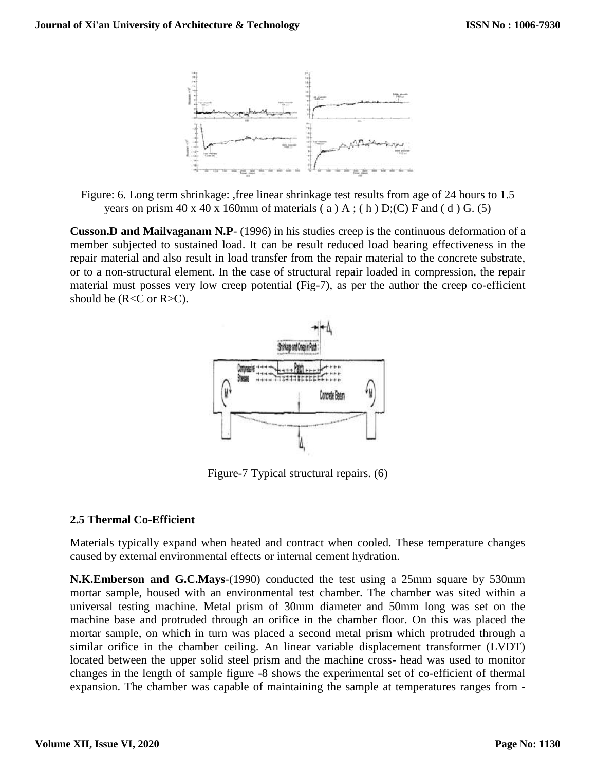

Figure: 6. Long term shrinkage: ,free linear shrinkage test results from age of 24 hours to 1.5 years on prism  $40 \times 40 \times 160$ mm of materials (a) A; (h) D;(C) F and (d) G. (5)

**Cusson.D and Mailvaganam N.P**- (1996) in his studies creep is the continuous deformation of a member subjected to sustained load. It can be result reduced load bearing effectiveness in the repair material and also result in load transfer from the repair material to the concrete substrate, or to a non-structural element. In the case of structural repair loaded in compression, the repair material must posses very low creep potential (Fig-7), as per the author the creep co-efficient should be  $(R < C$  or  $R > C$ ).



Figure-7 Typical structural repairs. (6)

#### **2.5 Thermal Co-Efficient**

Materials typically expand when heated and contract when cooled. These temperature changes caused by external environmental effects or internal cement hydration.

**N.K.Emberson and G.C.Mays**-(1990) conducted the test using a 25mm square by 530mm mortar sample, housed with an environmental test chamber. The chamber was sited within a universal testing machine. Metal prism of 30mm diameter and 50mm long was set on the machine base and protruded through an orifice in the chamber floor. On this was placed the mortar sample, on which in turn was placed a second metal prism which protruded through a similar orifice in the chamber ceiling. An linear variable displacement transformer (LVDT) located between the upper solid steel prism and the machine cross- head was used to monitor changes in the length of sample figure -8 shows the experimental set of co-efficient of thermal expansion. The chamber was capable of maintaining the sample at temperatures ranges from -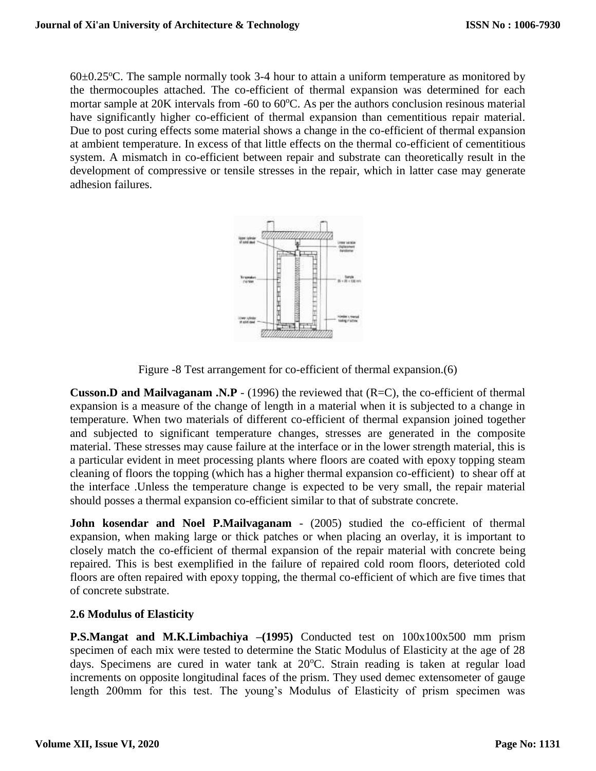$60\pm0.25^{\circ}$ C. The sample normally took 3-4 hour to attain a uniform temperature as monitored by the thermocouples attached. The co-efficient of thermal expansion was determined for each mortar sample at  $20K$  intervals from -60 to  $60^{\circ}$ C. As per the authors conclusion resinous material have significantly higher co-efficient of thermal expansion than cementitious repair material. Due to post curing effects some material shows a change in the co-efficient of thermal expansion at ambient temperature. In excess of that little effects on the thermal co-efficient of cementitious system. A mismatch in co-efficient between repair and substrate can theoretically result in the development of compressive or tensile stresses in the repair, which in latter case may generate adhesion failures.



Figure -8 Test arrangement for co-efficient of thermal expansion.(6)

**Cusson.D and Mailvaganam .N.P** - (1996) the reviewed that (R=C), the co-efficient of thermal expansion is a measure of the change of length in a material when it is subjected to a change in temperature. When two materials of different co-efficient of thermal expansion joined together and subjected to significant temperature changes, stresses are generated in the composite material. These stresses may cause failure at the interface or in the lower strength material, this is a particular evident in meet processing plants where floors are coated with epoxy topping steam cleaning of floors the topping (which has a higher thermal expansion co-efficient) to shear off at the interface .Unless the temperature change is expected to be very small, the repair material should posses a thermal expansion co-efficient similar to that of substrate concrete.

**John kosendar and Noel P.Mailvaganam -** (2005) studied the co-efficient of thermal expansion, when making large or thick patches or when placing an overlay, it is important to closely match the co-efficient of thermal expansion of the repair material with concrete being repaired. This is best exemplified in the failure of repaired cold room floors, deterioted cold floors are often repaired with epoxy topping, the thermal co-efficient of which are five times that of concrete substrate.

#### **2.6 Modulus of Elasticity**

**P.S.Mangat and M.K.Limbachiya** –(1995) Conducted test on  $100x100x500$  mm prism specimen of each mix were tested to determine the Static Modulus of Elasticity at the age of 28 days. Specimens are cured in water tank at  $20^{\circ}$ C. Strain reading is taken at regular load increments on opposite longitudinal faces of the prism. They used demec extensometer of gauge length 200mm for this test. The young's Modulus of Elasticity of prism specimen was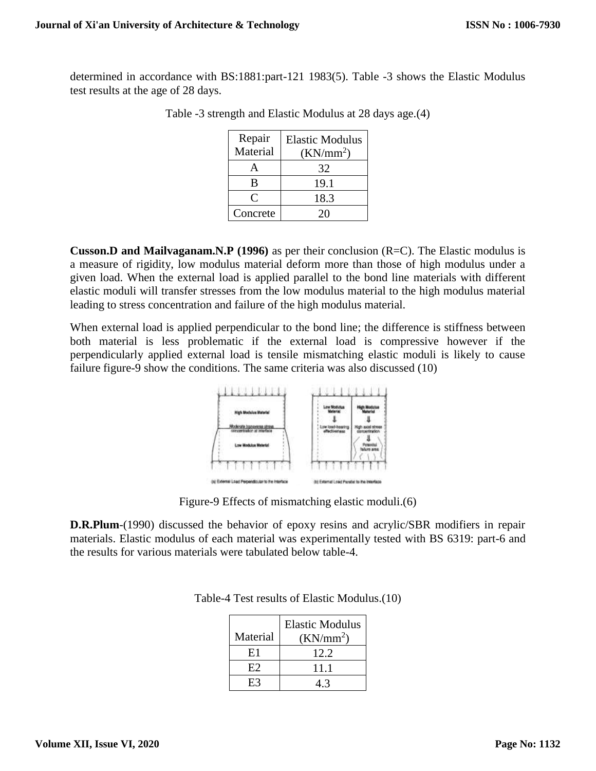determined in accordance with BS:1881:part-121 1983(5). Table -3 shows the Elastic Modulus test results at the age of 28 days.

| Repair<br>Material | <b>Elastic Modulus</b><br>$(KN/mm^2)$ |  |
|--------------------|---------------------------------------|--|
|                    | 32                                    |  |
| В                  | 19.1                                  |  |
| ( `                | 18.3                                  |  |
| Concrete           | 20                                    |  |

Table -3 strength and Elastic Modulus at 28 days age.(4)

**Cusson.D and Mailvaganam.N.P (1996)** as per their conclusion (R=C). The Elastic modulus is a measure of rigidity, low modulus material deform more than those of high modulus under a given load. When the external load is applied parallel to the bond line materials with different elastic moduli will transfer stresses from the low modulus material to the high modulus material leading to stress concentration and failure of the high modulus material.

When external load is applied perpendicular to the bond line; the difference is stiffness between both material is less problematic if the external load is compressive however if the perpendicularly applied external load is tensile mismatching elastic moduli is likely to cause failure figure-9 show the conditions. The same criteria was also discussed (10)



Figure-9 Effects of mismatching elastic moduli.(6)

**D.R.Plum**-(1990) discussed the behavior of epoxy resins and acrylic/SBR modifiers in repair materials. Elastic modulus of each material was experimentally tested with BS 6319: part-6 and the results for various materials were tabulated below table-4.

| Material | <b>Elastic Modulus</b><br>$(KN/mm^2)$ |
|----------|---------------------------------------|
| E1       | 12.2.                                 |
| E2       | 11 1                                  |
| E3       |                                       |

Table-4 Test results of Elastic Modulus.(10)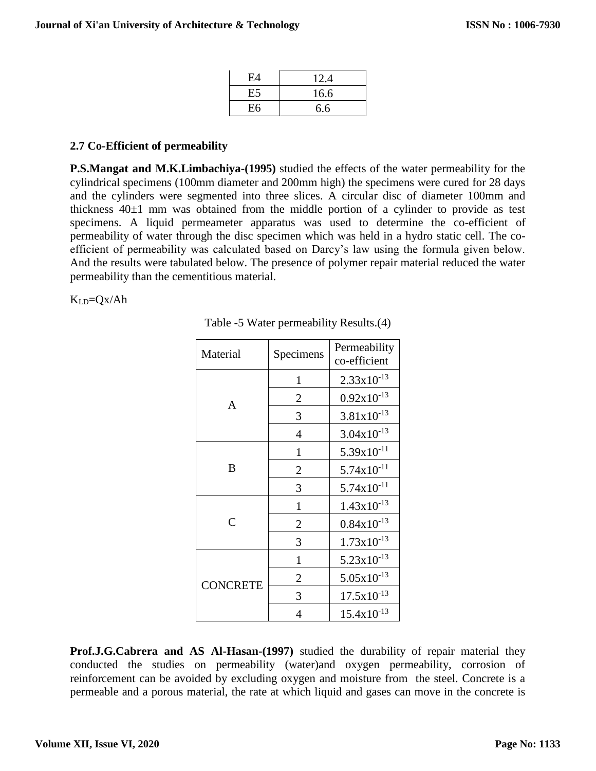| E4 | 12.4 |
|----|------|
| E5 | 16.6 |
| E6 | 6.6  |

## **2.7 Co-Efficient of permeability**

**P.S.Mangat and M.K.Limbachiya-(1995)** studied the effects of the water permeability for the cylindrical specimens (100mm diameter and 200mm high) the specimens were cured for 28 days and the cylinders were segmented into three slices. A circular disc of diameter 100mm and thickness  $40\pm1$  mm was obtained from the middle portion of a cylinder to provide as test specimens. A liquid permeameter apparatus was used to determine the co-efficient of permeability of water through the disc specimen which was held in a hydro static cell. The coefficient of permeability was calculated based on Darcy's law using the formula given below. And the results were tabulated below. The presence of polymer repair material reduced the water permeability than the cementitious material.

 $K_{LD}=Qx/Ah$ 

| Material        | Specimens      | Permeability<br>co-efficient |
|-----------------|----------------|------------------------------|
|                 | 1              | $2.33 \times 10^{-13}$       |
| A               | 2              | $0.92x10^{-13}$              |
|                 | 3              | $3.81x10^{-13}$              |
|                 | 4              | $3.04x10^{-13}$              |
|                 | $\mathbf{1}$   | $5.39x10^{-11}$              |
| B               | 2              | $5.74 \times 10^{-11}$       |
|                 | 3              | $5.74 \times 10^{-11}$       |
|                 | 1              | $1.43x10^{-13}$              |
| $\overline{C}$  | $\overline{2}$ | $0.84x10^{-13}$              |
|                 | 3              | $1.73x10^{-13}$              |
|                 | $\mathbf{1}$   | $5.23 \times 10^{-13}$       |
| <b>CONCRETE</b> | 2              | $5.05x10^{-13}$              |
|                 | 3              | $17.5x10^{-13}$              |
|                 | 4              | $15.4x10^{-13}$              |

Table -5 Water permeability Results.(4)

**Prof.J.G.Cabrera and AS Al-Hasan-(1997)** studied the durability of repair material they conducted the studies on permeability (water)and oxygen permeability, corrosion of reinforcement can be avoided by excluding oxygen and moisture from the steel. Concrete is a permeable and a porous material, the rate at which liquid and gases can move in the concrete is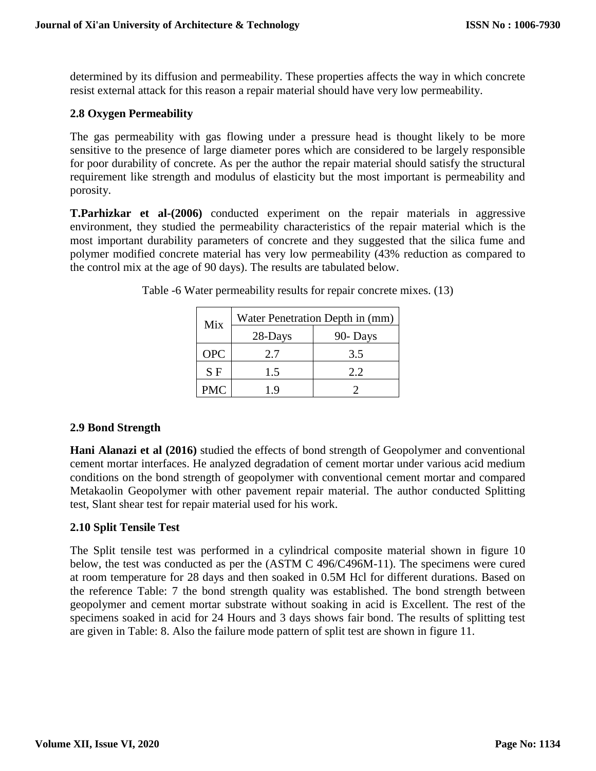determined by its diffusion and permeability. These properties affects the way in which concrete resist external attack for this reason a repair material should have very low permeability.

#### **2.8 Oxygen Permeability**

The gas permeability with gas flowing under a pressure head is thought likely to be more sensitive to the presence of large diameter pores which are considered to be largely responsible for poor durability of concrete. As per the author the repair material should satisfy the structural requirement like strength and modulus of elasticity but the most important is permeability and porosity.

**T.Parhizkar et al-(2006)** conducted experiment on the repair materials in aggressive environment, they studied the permeability characteristics of the repair material which is the most important durability parameters of concrete and they suggested that the silica fume and polymer modified concrete material has very low permeability (43% reduction as compared to the control mix at the age of 90 days). The results are tabulated below.

| Mix        | Water Penetration Depth in (mm) |         |  |
|------------|---------------------------------|---------|--|
| 28-Days    |                                 | 90-Days |  |
| <b>OPC</b> | 2.7                             | 3.5     |  |
| S F        | 1.5                             | 2.2     |  |
| <b>PMC</b> | 19                              |         |  |

Table -6 Water permeability results for repair concrete mixes. (13)

## **2.9 Bond Strength**

**Hani Alanazi et al (2016)** studied the effects of bond strength of Geopolymer and conventional cement mortar interfaces. He analyzed degradation of cement mortar under various acid medium conditions on the bond strength of geopolymer with conventional cement mortar and compared Metakaolin Geopolymer with other pavement repair material. The author conducted Splitting test, Slant shear test for repair material used for his work.

## **2.10 Split Tensile Test**

The Split tensile test was performed in a cylindrical composite material shown in figure 10 below, the test was conducted as per the (ASTM C 496/C496M-11). The specimens were cured at room temperature for 28 days and then soaked in 0.5M Hcl for different durations. Based on the reference Table: 7 the bond strength quality was established. The bond strength between geopolymer and cement mortar substrate without soaking in acid is Excellent. The rest of the specimens soaked in acid for 24 Hours and 3 days shows fair bond. The results of splitting test are given in Table: 8. Also the failure mode pattern of split test are shown in figure 11.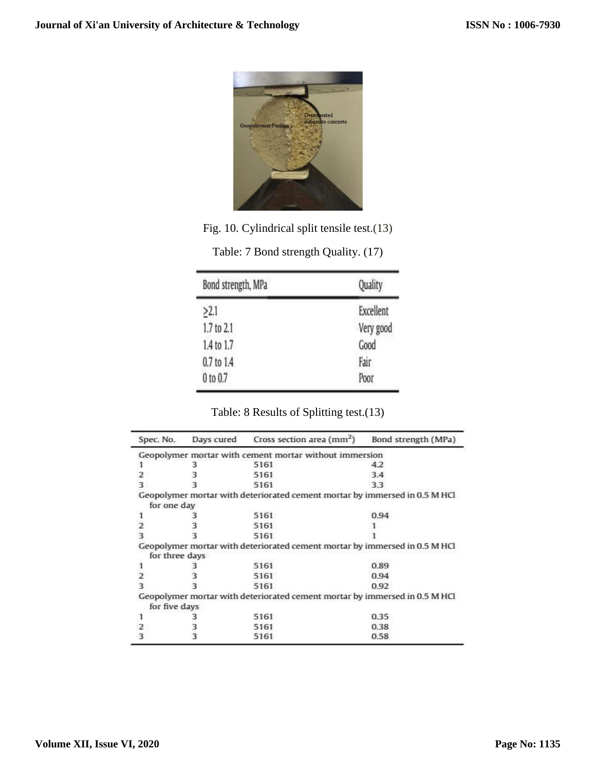

Fig. 10. Cylindrical split tensile test.(13)

| Bond strength, MPa | Quality   |  |
|--------------------|-----------|--|
| >2.1               | Excellent |  |
| 1.7 to 2.1         | Very good |  |
| 1.4 to 1.7         | Good      |  |
| 0.7 to 1.4         | Fair      |  |
| 0 to 0.7           | Poor      |  |

| Table: 7 Bond strength Quality. (17) |  |  |  |
|--------------------------------------|--|--|--|
|--------------------------------------|--|--|--|

Table: 8 Results of Splitting test.(13)

| Spec. No.      | Days cured Cross section area (mm <sup>2</sup> )                           | Bond strength (MPa) |
|----------------|----------------------------------------------------------------------------|---------------------|
|                | Geopolymer mortar with cement mortar without immersion                     |                     |
|                | 5161                                                                       | 4.2                 |
|                | 5161                                                                       | 3.4                 |
|                | 5161                                                                       | 3.3                 |
|                | Geopolymer mortar with deteriorated cement mortar by immersed in 0.5 M HCl |                     |
| for one day    |                                                                            |                     |
| ı              | 5161                                                                       | 0.94                |
| 2              | 5161                                                                       |                     |
|                | 5161                                                                       |                     |
| for three days | Geopolymer mortar with deteriorated cement mortar by immersed in 0.5 M HCl |                     |
|                | 5161                                                                       | 0.89                |
| 2              | 5161                                                                       | 0.94                |
| 3              | 5161                                                                       | 0.92                |
| for five days  | Geopolymer mortar with deteriorated cement mortar by immersed in 0.5 M HCl |                     |
|                | 5161                                                                       | 0.35                |
|                | 5161                                                                       | 0.38                |
|                | 5161                                                                       | 0.58                |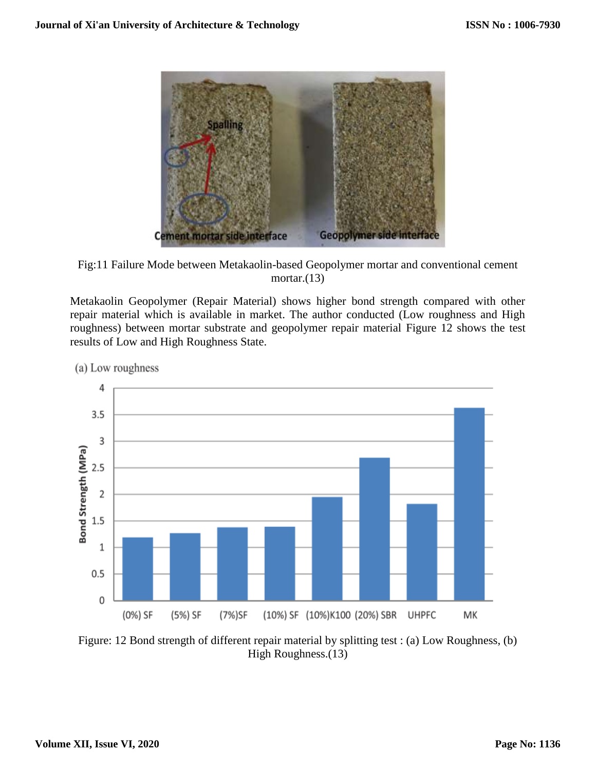

Fig:11 Failure Mode between Metakaolin-based Geopolymer mortar and conventional cement mortar. $(13)$ 

Metakaolin Geopolymer (Repair Material) shows higher bond strength compared with other repair material which is available in market. The author conducted (Low roughness and High roughness) between mortar substrate and geopolymer repair material Figure 12 shows the test results of Low and High Roughness State.

4  $3.5$ 3 Bond Strength (MPa)  $2.5$  $\overline{2}$ 1.5  $1\,$  $0.5$ 0 (0%) SF (5%) SF (7%)SF (10%) SF (10%)K100 (20%) SBR **UHPFC** MK

(a) Low roughness

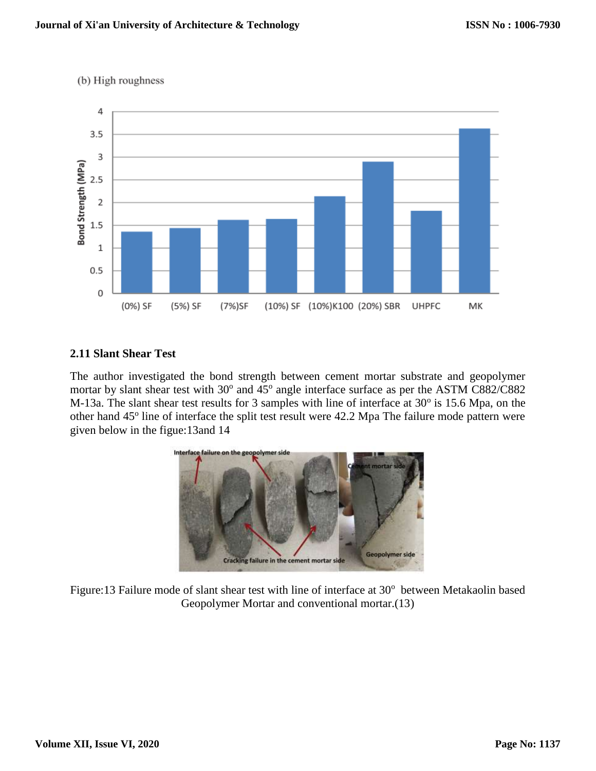

## (b) High roughness

# **2.11 Slant Shear Test**

The author investigated the bond strength between cement mortar substrate and geopolymer mortar by slant shear test with 30° and 45° angle interface surface as per the ASTM C882/C882 M-13a. The slant shear test results for 3 samples with line of interface at  $30^{\circ}$  is 15.6 Mpa, on the other hand 45<sup>°</sup> line of interface the split test result were 42.2 Mpa The failure mode pattern were given below in the figue:13and 14



Figure:13 Failure mode of slant shear test with line of interface at 30° between Metakaolin based Geopolymer Mortar and conventional mortar.(13)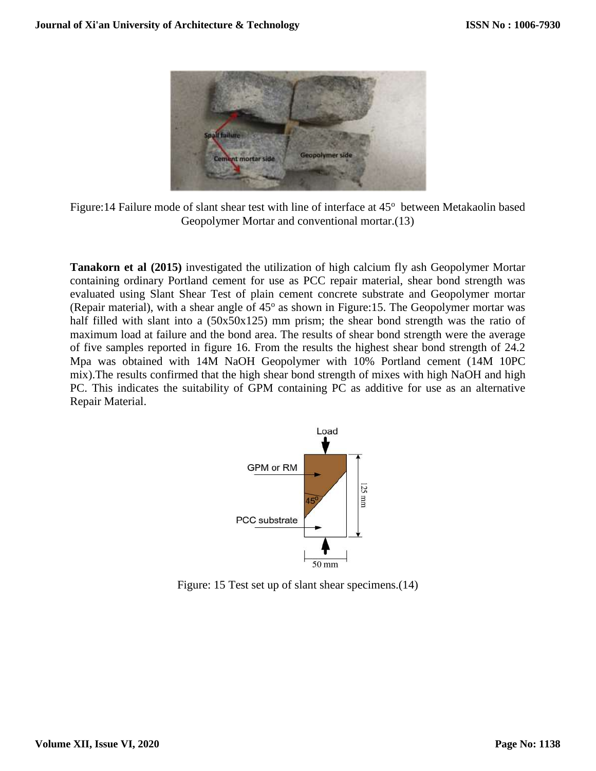

Figure: 14 Failure mode of slant shear test with line of interface at 45° between Metakaolin based Geopolymer Mortar and conventional mortar.(13)

**Tanakorn et al (2015)** investigated the utilization of high calcium fly ash Geopolymer Mortar containing ordinary Portland cement for use as PCC repair material, shear bond strength was evaluated using Slant Shear Test of plain cement concrete substrate and Geopolymer mortar (Repair material), with a shear angle of  $45^{\circ}$  as shown in Figure:15. The Geopolymer mortar was half filled with slant into a  $(50x50x125)$  mm prism; the shear bond strength was the ratio of maximum load at failure and the bond area. The results of shear bond strength were the average of five samples reported in figure 16. From the results the highest shear bond strength of 24.2 Mpa was obtained with 14M NaOH Geopolymer with 10% Portland cement (14M 10PC mix).The results confirmed that the high shear bond strength of mixes with high NaOH and high PC. This indicates the suitability of GPM containing PC as additive for use as an alternative Repair Material.



Figure: 15 Test set up of slant shear specimens.(14)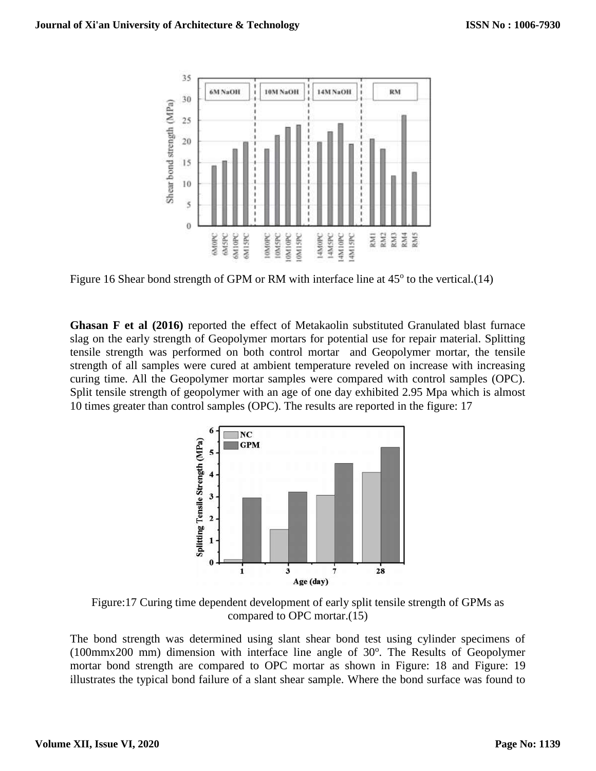

Figure 16 Shear bond strength of GPM or RM with interface line at 45° to the vertical.(14)

**Ghasan F et al (2016)** reported the effect of Metakaolin substituted Granulated blast furnace slag on the early strength of Geopolymer mortars for potential use for repair material. Splitting tensile strength was performed on both control mortar and Geopolymer mortar, the tensile strength of all samples were cured at ambient temperature reveled on increase with increasing curing time. All the Geopolymer mortar samples were compared with control samples (OPC). Split tensile strength of geopolymer with an age of one day exhibited 2.95 Mpa which is almost 10 times greater than control samples (OPC). The results are reported in the figure: 17



Figure:17 Curing time dependent development of early split tensile strength of GPMs as compared to OPC mortar.(15)

The bond strength was determined using slant shear bond test using cylinder specimens of  $(100 \text{mm} \times 200 \text{ mm})$  dimension with interface line angle of  $30^\circ$ . The Results of Geopolymer mortar bond strength are compared to OPC mortar as shown in Figure: 18 and Figure: 19 illustrates the typical bond failure of a slant shear sample. Where the bond surface was found to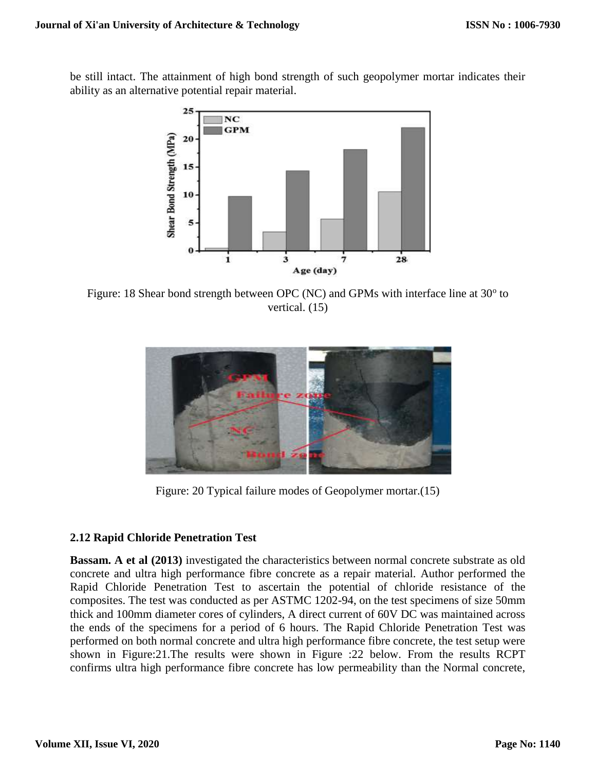be still intact. The attainment of high bond strength of such geopolymer mortar indicates their ability as an alternative potential repair material.



Figure: 18 Shear bond strength between OPC (NC) and GPMs with interface line at  $30^{\circ}$  to vertical. (15)



Figure: 20 Typical failure modes of Geopolymer mortar.(15)

## **2.12 Rapid Chloride Penetration Test**

**Bassam. A et al (2013)** investigated the characteristics between normal concrete substrate as old concrete and ultra high performance fibre concrete as a repair material. Author performed the Rapid Chloride Penetration Test to ascertain the potential of chloride resistance of the composites. The test was conducted as per ASTMC 1202-94, on the test specimens of size 50mm thick and 100mm diameter cores of cylinders, A direct current of 60V DC was maintained across the ends of the specimens for a period of 6 hours. The Rapid Chloride Penetration Test was performed on both normal concrete and ultra high performance fibre concrete, the test setup were shown in Figure:21.The results were shown in Figure :22 below. From the results RCPT confirms ultra high performance fibre concrete has low permeability than the Normal concrete,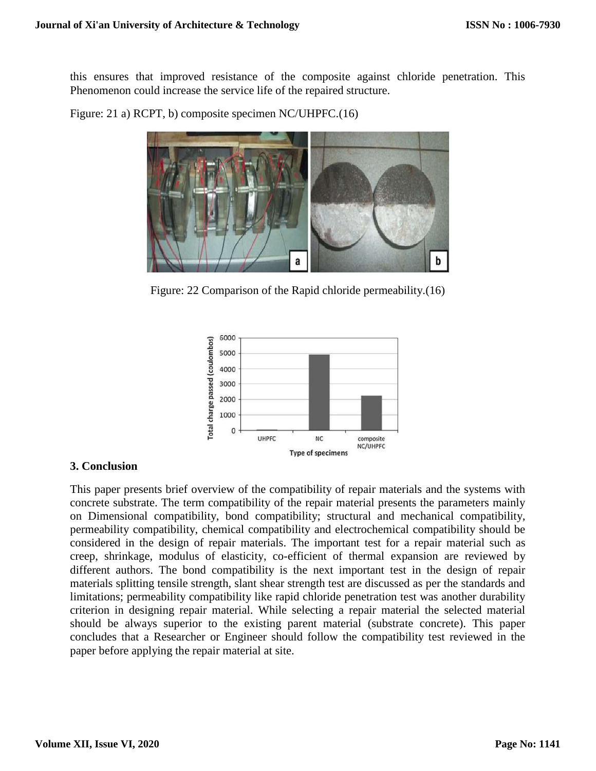this ensures that improved resistance of the composite against chloride penetration. This Phenomenon could increase the service life of the repaired structure.

Figure: 21 a) RCPT, b) composite specimen NC/UHPFC.(16)

Figure: 22 Comparison of the Rapid chloride permeability.(16)



#### **3. Conclusion**

This paper presents brief overview of the compatibility of repair materials and the systems with concrete substrate. The term compatibility of the repair material presents the parameters mainly on Dimensional compatibility, bond compatibility; structural and mechanical compatibility, permeability compatibility, chemical compatibility and electrochemical compatibility should be considered in the design of repair materials. The important test for a repair material such as creep, shrinkage, modulus of elasticity, co-efficient of thermal expansion are reviewed by different authors. The bond compatibility is the next important test in the design of repair materials splitting tensile strength, slant shear strength test are discussed as per the standards and limitations; permeability compatibility like rapid chloride penetration test was another durability criterion in designing repair material. While selecting a repair material the selected material should be always superior to the existing parent material (substrate concrete). This paper concludes that a Researcher or Engineer should follow the compatibility test reviewed in the paper before applying the repair material at site.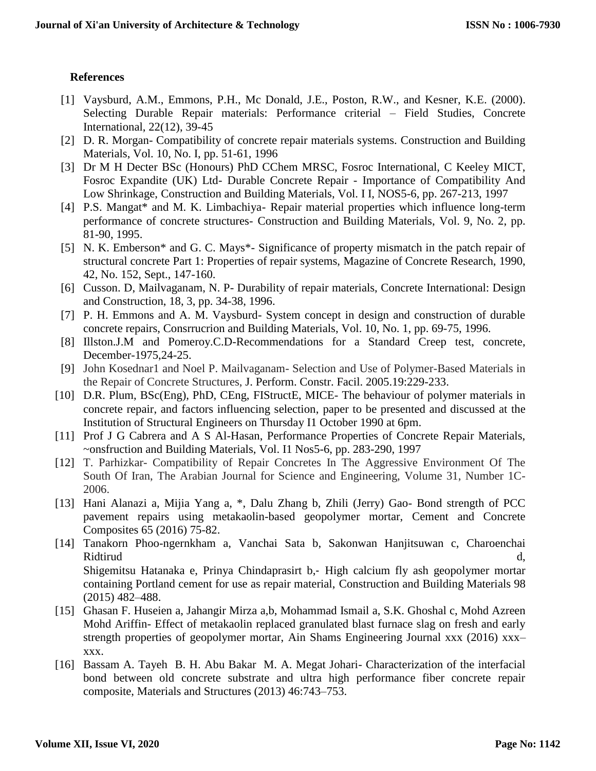## **References**

- [1] Vaysburd, A.M., Emmons, P.H., Mc Donald, J.E., Poston, R.W., and Kesner, K.E. (2000). Selecting Durable Repair materials: Performance criterial – Field Studies, Concrete International, 22(12), 39-45
- [2] D. R. Morgan- Compatibility of concrete repair materials systems. Construction and Building Materials, Vol. 10, No. I, pp. 51-61, 1996
- [3] Dr M H Decter BSc (Honours) PhD CChem MRSC, Fosroc International, C Keeley MICT, Fosroc Expandite (UK) Ltd- Durable Concrete Repair - Importance of Compatibility And Low Shrinkage, Construction and Building Materials, Vol. I I, NOS5-6, pp. 267-213, 1997
- [4] P.S. Mangat\* and M. K. Limbachiya- Repair material properties which influence long-term performance of concrete structures- Construction and Building Materials, Vol. 9, No. 2, pp. 81-90, 1995.
- [5] N. K. Emberson<sup>\*</sup> and G. C. Mays<sup>\*</sup>- Significance of property mismatch in the patch repair of structural concrete Part 1: Properties of repair systems, Magazine of Concrete Research, 1990, 42, No. 152, Sept., 147-160.
- [6] Cusson. D, Mailvaganam, N. P- Durability of repair materials, Concrete International: Design and Construction, 18, 3, pp. 34-38, 1996.
- [7] P. H. Emmons and A. M. Vaysburd- System concept in design and construction of durable concrete repairs, Consrrucrion and Building Materials, Vol. 10, No. 1, pp. 69-75, 1996.
- [8] Illston.J.M and Pomeroy.C.D-Recommendations for a Standard Creep test, concrete, December-1975,24-25.
- [9] John Kosednar1 and Noel P. Mailvaganam- Selection and Use of Polymer-Based Materials in the Repair of Concrete Structures, J. Perform. Constr. Facil. 2005.19:229-233.
- [10] D.R. Plum, BSc(Eng), PhD, CEng, FIStructE, MICE- The behaviour of polymer materials in concrete repair, and factors influencing selection, paper to be presented and discussed at the Institution of Structural Engineers on Thursday I1 October 1990 at 6pm.
- [11] Prof J G Cabrera and A S Al-Hasan, Performance Properties of Concrete Repair Materials, ~onsfruction and Building Materials, Vol. I1 Nos5-6, pp. 283-290, 1997
- [12] T. Parhizkar- Compatibility of Repair Concretes In The Aggressive Environment Of The South Of Iran, The Arabian Journal for Science and Engineering, Volume 31, Number 1C-2006.
- [13] Hani Alanazi a, Mijia Yang a, \*, Dalu Zhang b, Zhili (Jerry) Gao- Bond strength of PCC pavement repairs using metakaolin-based geopolymer mortar, Cement and Concrete Composites 65 (2016) 75-82.
- [14] Tanakorn Phoo-ngernkham a, Vanchai Sata b, Sakonwan Hanjitsuwan c, Charoenchai Ridtirud d, Shigemitsu Hatanaka e, Prinya Chindaprasirt b,- High calcium fly ash geopolymer mortar containing Portland cement for use as repair material, Construction and Building Materials 98 (2015) 482–488.
- [15] Ghasan F. Huseien a, Jahangir Mirza a,b, Mohammad Ismail a, S.K. Ghoshal c, Mohd Azreen Mohd Ariffin- Effect of metakaolin replaced granulated blast furnace slag on fresh and early strength properties of geopolymer mortar, Ain Shams Engineering Journal xxx (2016) xxx– xxx.
- [16] Bassam A. Tayeh B. H. Abu Bakar M. A. Megat Johari- Characterization of the interfacial bond between old concrete substrate and ultra high performance fiber concrete repair composite, Materials and Structures (2013) 46:743–753.